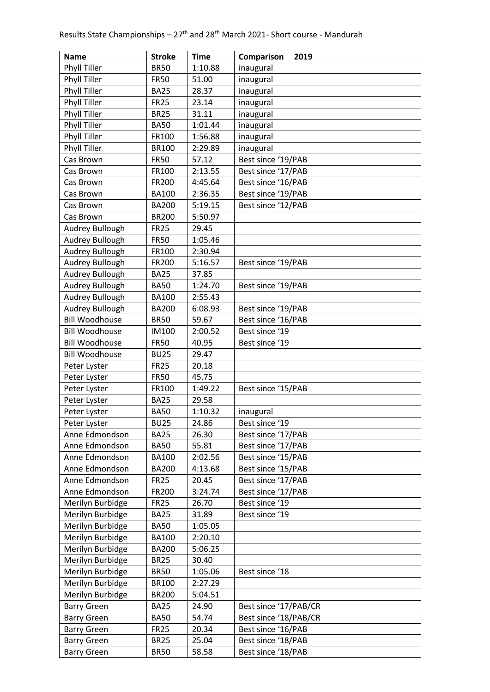| <b>Name</b>           | <b>Stroke</b>        | <b>Time</b>      | Comparison<br>2019                       |
|-----------------------|----------------------|------------------|------------------------------------------|
| <b>Phyll Tiller</b>   | <b>BR50</b>          | 1:10.88          | inaugural                                |
| Phyll Tiller          | <b>FR50</b>          | 51.00            | inaugural                                |
| <b>Phyll Tiller</b>   | <b>BA25</b>          | 28.37            | inaugural                                |
| Phyll Tiller          | <b>FR25</b>          | 23.14            | inaugural                                |
| <b>Phyll Tiller</b>   | <b>BR25</b>          | 31.11            | inaugural                                |
| <b>Phyll Tiller</b>   | <b>BA50</b>          | 1:01.44          | inaugural                                |
| Phyll Tiller          | FR100                | 1:56.88          | inaugural                                |
| Phyll Tiller          | <b>BR100</b>         | 2:29.89          | inaugural                                |
| Cas Brown             | <b>FR50</b>          | 57.12            | Best since '19/PAB                       |
| Cas Brown             | FR100                | 2:13.55          | Best since '17/PAB                       |
| Cas Brown             | FR200                | 4:45.64          | Best since '16/PAB                       |
| Cas Brown             | <b>BA100</b>         | 2:36.35          | Best since '19/PAB                       |
| Cas Brown             | <b>BA200</b>         | 5:19.15          | Best since '12/PAB                       |
| Cas Brown             | <b>BR200</b>         | 5:50.97          |                                          |
| Audrey Bullough       | <b>FR25</b>          | 29.45            |                                          |
| Audrey Bullough       | <b>FR50</b>          | 1:05.46          |                                          |
| Audrey Bullough       | FR100                | 2:30.94          |                                          |
| Audrey Bullough       | FR200                | 5:16.57          | Best since '19/PAB                       |
| Audrey Bullough       | <b>BA25</b>          | 37.85            |                                          |
| Audrey Bullough       | <b>BA50</b>          | 1:24.70          | Best since '19/PAB                       |
| Audrey Bullough       | <b>BA100</b>         | 2:55.43          |                                          |
| Audrey Bullough       | <b>BA200</b>         |                  |                                          |
| <b>Bill Woodhouse</b> | <b>BR50</b>          | 6:08.93<br>59.67 | Best since '19/PAB<br>Best since '16/PAB |
| <b>Bill Woodhouse</b> |                      | 2:00.52          | Best since '19                           |
| <b>Bill Woodhouse</b> | IM100<br><b>FR50</b> | 40.95            | Best since '19                           |
| <b>Bill Woodhouse</b> | <b>BU25</b>          | 29.47            |                                          |
| Peter Lyster          | <b>FR25</b>          | 20.18            |                                          |
| Peter Lyster          | <b>FR50</b>          | 45.75            |                                          |
| Peter Lyster          | FR100                | 1:49.22          | Best since '15/PAB                       |
| Peter Lyster          | <b>BA25</b>          | 29.58            |                                          |
| Peter Lyster          | <b>BA50</b>          | 1:10.32          | inaugural                                |
| Peter Lyster          | <b>BU25</b>          | 24.86            | Best since '19                           |
| Anne Edmondson        | <b>BA25</b>          | 26.30            | Best since '17/PAB                       |
| Anne Edmondson        | <b>BA50</b>          | 55.81            | Best since '17/PAB                       |
| Anne Edmondson        | <b>BA100</b>         | 2:02.56          | Best since '15/PAB                       |
| Anne Edmondson        | <b>BA200</b>         | 4:13.68          | Best since '15/PAB                       |
| Anne Edmondson        | <b>FR25</b>          | 20.45            | Best since '17/PAB                       |
| Anne Edmondson        | FR200                | 3:24.74          | Best since '17/PAB                       |
| Merilyn Burbidge      | <b>FR25</b>          | 26.70            | Best since '19                           |
| Merilyn Burbidge      | <b>BA25</b>          | 31.89            | Best since '19                           |
| Merilyn Burbidge      | <b>BA50</b>          | 1:05.05          |                                          |
| Merilyn Burbidge      | <b>BA100</b>         | 2:20.10          |                                          |
| Merilyn Burbidge      | <b>BA200</b>         | 5:06.25          |                                          |
| Merilyn Burbidge      | <b>BR25</b>          | 30.40            |                                          |
| Merilyn Burbidge      | <b>BR50</b>          | 1:05.06          | Best since '18                           |
| Merilyn Burbidge      | <b>BR100</b>         | 2:27.29          |                                          |
| Merilyn Burbidge      | <b>BR200</b>         | 5:04.51          |                                          |
| <b>Barry Green</b>    | <b>BA25</b>          | 24.90            | Best since '17/PAB/CR                    |
| <b>Barry Green</b>    | <b>BA50</b>          | 54.74            | Best since '18/PAB/CR                    |
| <b>Barry Green</b>    | <b>FR25</b>          | 20.34            | Best since '16/PAB                       |
| <b>Barry Green</b>    | <b>BR25</b>          | 25.04            | Best since '18/PAB                       |
| <b>Barry Green</b>    | <b>BR50</b>          | 58.58            | Best since '18/PAB                       |